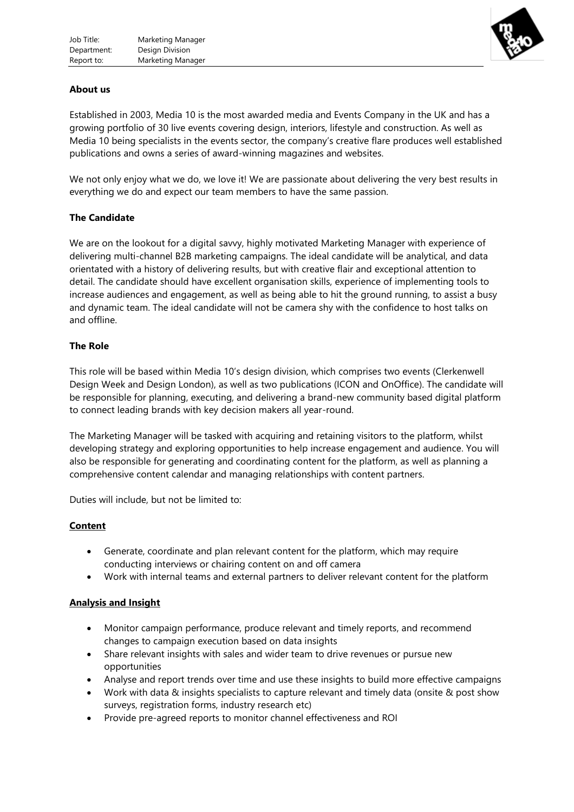

## **About us**

Established in 2003, Media 10 is the most awarded media and Events Company in the UK and has a growing portfolio of 30 live events covering design, interiors, lifestyle and construction. As well as Media 10 being specialists in the events sector, the company's creative flare produces well established publications and owns a series of award-winning magazines and websites.

We not only enjoy what we do, we love it! We are passionate about delivering the very best results in everything we do and expect our team members to have the same passion.

## **The Candidate**

We are on the lookout for a digital savvy, highly motivated Marketing Manager with experience of delivering multi-channel B2B marketing campaigns. The ideal candidate will be analytical, and data orientated with a history of delivering results, but with creative flair and exceptional attention to detail. The candidate should have excellent organisation skills, experience of implementing tools to increase audiences and engagement, as well as being able to hit the ground running, to assist a busy and dynamic team. The ideal candidate will not be camera shy with the confidence to host talks on and offline.

## **The Role**

This role will be based within Media 10's design division, which comprises two events (Clerkenwell Design Week and Design London), as well as two publications (ICON and OnOffice). The candidate will be responsible for planning, executing, and delivering a brand-new community based digital platform to connect leading brands with key decision makers all year-round.

The Marketing Manager will be tasked with acquiring and retaining visitors to the platform, whilst developing strategy and exploring opportunities to help increase engagement and audience. You will also be responsible for generating and coordinating content for the platform, as well as planning a comprehensive content calendar and managing relationships with content partners.

Duties will include, but not be limited to:

## **Content**

- Generate, coordinate and plan relevant content for the platform, which may require conducting interviews or chairing content on and off camera
- Work with internal teams and external partners to deliver relevant content for the platform

## **Analysis and Insight**

- Monitor campaign performance, produce relevant and timely reports, and recommend changes to campaign execution based on data insights
- Share relevant insights with sales and wider team to drive revenues or pursue new opportunities
- Analyse and report trends over time and use these insights to build more effective campaigns
- Work with data & insights specialists to capture relevant and timely data (onsite & post show surveys, registration forms, industry research etc)
- Provide pre-agreed reports to monitor channel effectiveness and ROI